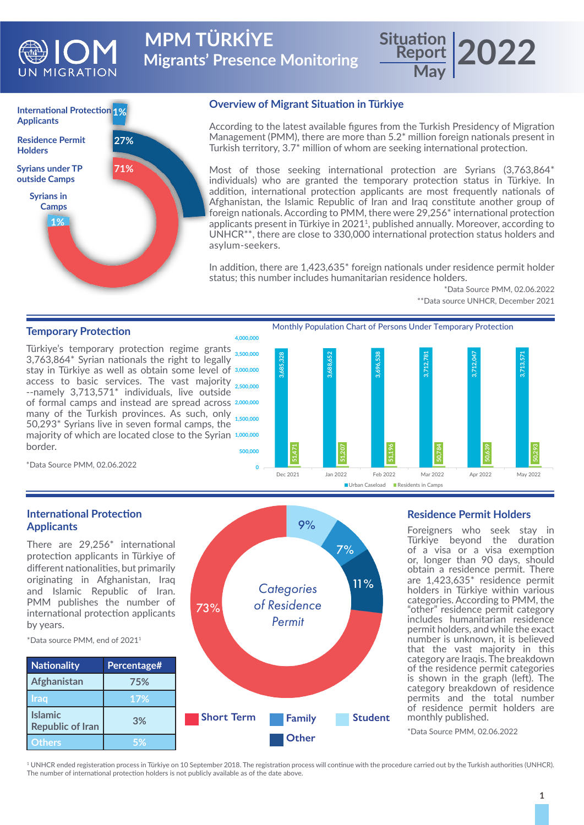

**Migrants' Presence Monitoring MPM TÜRKİYE Situation**



#### **Overview of Migrant Situation in Türkiye**

According to the latest available figures from the Turkish Presidency of Migration Management (PMM), there are more than 5.2\* million foreign nationals present in Turkish territory, 3.7\* million of whom are seeking international protection.

**Report**

**May**

Most of those seeking international protection are Syrians (3,763,864\* individuals) who are granted the temporary protection status in Türkiye. In addition, international protection applicants are most frequently nationals of Afghanistan, the Islamic Republic of Iran and Iraq constitute another group of foreign nationals. According to PMM, there were 29,256\* international protection applicants present in Türkiye in 2021<sup>1</sup>, published annually. Moreover, according to UNHCR\*\*, there are close to 330,000 international protection status holders and asylum-seekers.

In addition, there are 1,423,635\* foreign nationals under residence permit holder status; this number includes humanitarian residence holders.

#### \*Data Source PMM, 02.06.2022 \*\*Data source UNHCR, December 2021

**2022**

## **Temporary Protection**

Türkiye's temporary protection regime grants **3,500,000** 3,763,864\* Syrian nationals the right to legally stay in Türkiye as well as obtain some level of **3,000,000** access to basic services. The vast majority **2,500,000** --namely 3,713,571\* individuals, live outside of formal camps and instead are spread across **2,000,000** many of the Turkish provinces. As such, only 1,500,000 50,293\* Syrians live in seven formal camps, the majority of which are located close to the Syrian **1,000,000** border. **500,000**



\*Data Source PMM, 02.06.2022

### **International Protection Applicants**

There are 29,256\* international protection applicants in Türkiye of different nationalities, but primarily originating in Afghanistan, Iraq and Islamic Republic of Iran. PMM publishes the number of international protection applicants by years.

\*Data source PMM, end of 20211

**Afghanistan 75% Iraq 17%**

**Republic of Iran 3% Others 5%**

**Islamic** 



### **Residence Permit Holders**

Foreigners who seek stay in Türkiye beyond the duration of a visa or a visa exemption or, longer than 90 days, should obtain a residence permit. There are 1,423,635\* residence permit holders in Türkiye within various categories. According to PMM, the "other" residence permit category includes humanitarian residence permit holders, and while the exact number is unknown, it is believed that the vast majority in this category are Iraqis. The breakdown of the residence permit categories is shown in the graph (left). The category breakdown of residence permits and the total number of residence permit holders are monthly published.

\*Data Source PMM, 02.06.2022

<sup>1</sup> UNHCR ended registeration process in Türkiye on 10 September 2018. The registration process will continue with the procedure carried out by the Turkish authorities (UNHCR). The number of international protection holders is not publicly available as of the date above.